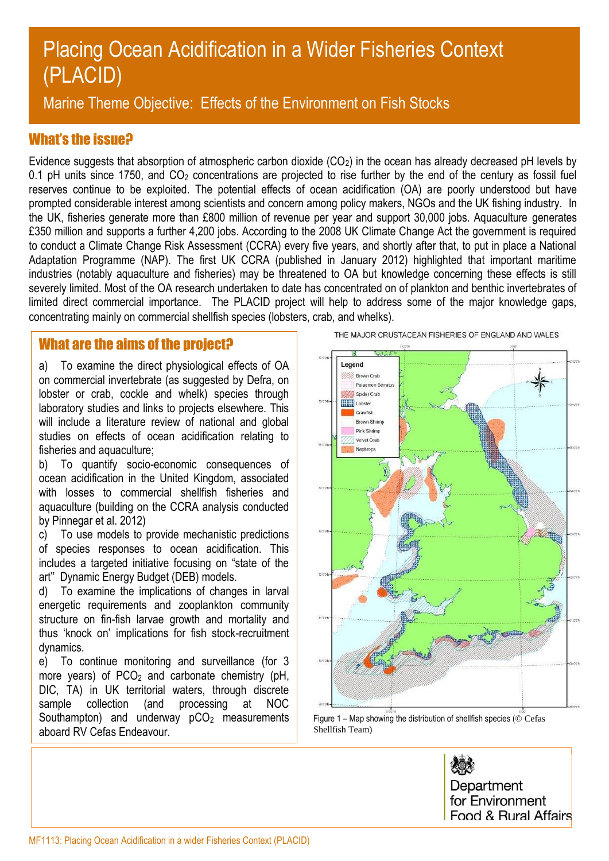# Placing Ocean Acidification in a Wider Fisheries Context (PLACID)

Marine Theme Objective: Effects of the Environment on Fish Stocks

## What's the issue?

Evidence suggests that absorption of atmospheric carbon dioxide (CO<sub>2</sub>) in the ocean has already decreased pH levels by 0.1 pH units since 1750, and  $CO<sub>2</sub>$  concentrations are projected to rise further by the end of the century as fossil fuel reserves continue to be exploited. The potential effects of ocean acidification (OA) are poorly understood but have prompted considerable interest among scientists and concern among policy makers, NGOs and the UK fishing industry. In the UK, fisheries generate more than £800 million of revenue per year and support 30,000 jobs. Aquaculture generates £350 million and supports a further 4,200 jobs. According to the 2008 UK Climate Change Act the government is required to conduct a Climate Change Risk Assessment (CCRA) every five years, and shortly after that, to put in place a National Adaptation Programme (NAP). The first UK CCRA (published in January 2012) highlighted that important maritime industries (notably aquaculture and fisheries) may be threatened to OA but knowledge concerning these effects is still severely limited. Most of the OA research undertaken to date has concentrated on of plankton and benthic invertebrates of limited direct commercial importance. The PLACID project will help to address some of the major knowledge gaps, concentrating mainly on commercial shellfish species (lobsters, crab, and whelks).

## What are the aims of the project?

a) To examine the direct physiological effects of OA on commercial invertebrate (as suggested by Defra, on lobster or crab, cockle and whelk) species through laboratory studies and links to projects elsewhere. This will include a literature review of national and global studies on effects of ocean acidification relating to fisheries and aquaculture;

b) To quantify socio-economic consequences of ocean acidification in the United Kingdom, associated with losses to commercial shellfish fisheries and aquaculture (building on the CCRA analysis conducted by Pinnegar et al. 2012)

c) To use models to provide mechanistic predictions of species responses to ocean acidification. This includes a targeted initiative focusing on "state of the art" Dynamic Energy Budget (DEB) models.

d) To examine the implications of changes in larval energetic requirements and zooplankton community structure on fin-fish larvae growth and mortality and thus 'knock on' implications for fish stock-recruitment dynamics.

e) To continue monitoring and surveillance (for 3 more years) of  $PCO<sub>2</sub>$  and carbonate chemistry (pH, DIC, TA) in UK territorial waters, through discrete sample collection (and processing at NOC Southampton) and underway  $pCO<sub>2</sub>$  measurements aboard RV Cefas Endeavour.

THE MAJOR CRUSTACEAN FISHERIES OF ENGLAND AND WALES



Figure 1 – Map showing the distribution of shellfish species (© Cefas Shellfish Team)